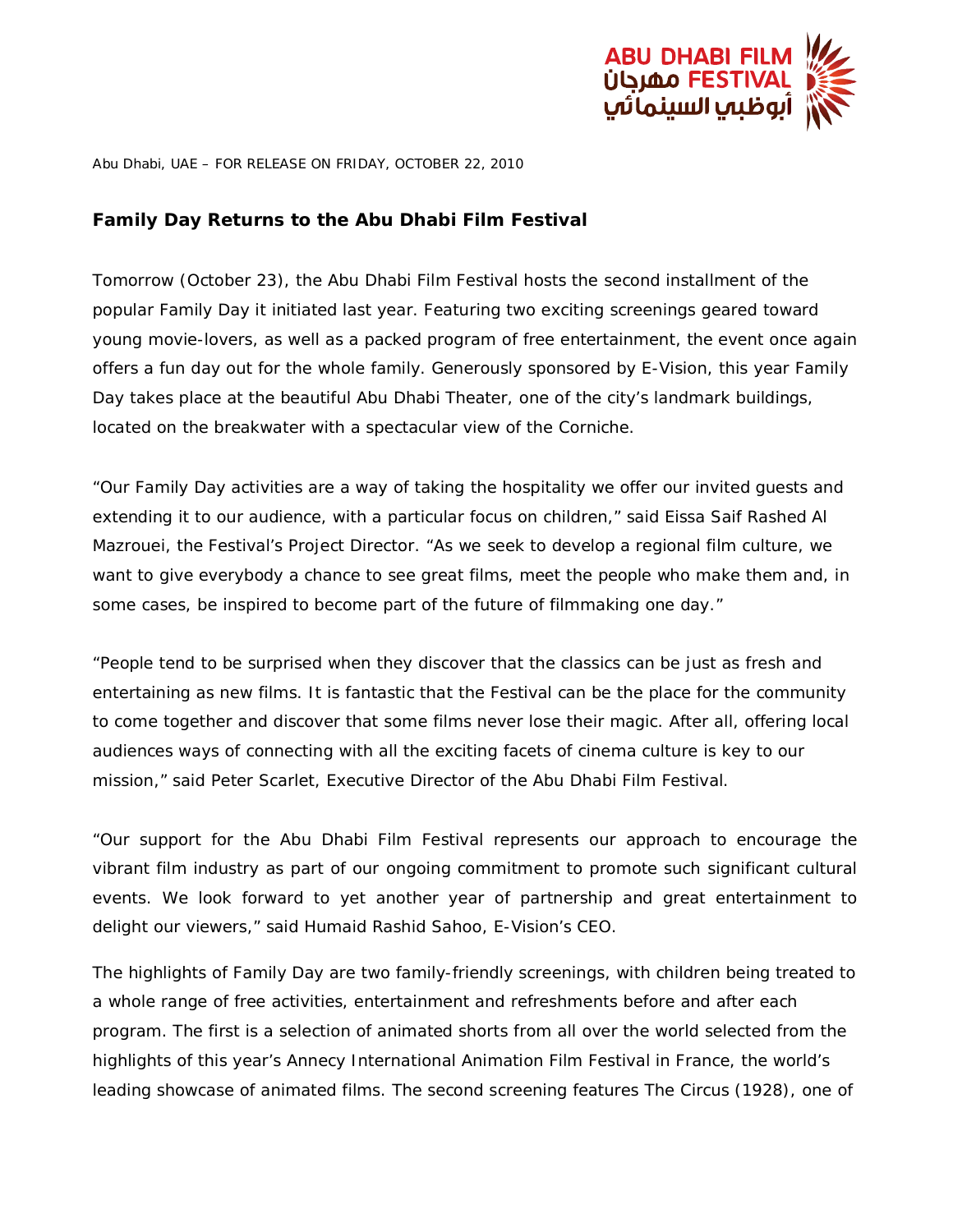

Abu Dhabi, UAE – FOR RELEASE ON FRIDAY, OCTOBER 22, 2010

## **Family Day Returns to the Abu Dhabi Film Festival**

Tomorrow (October 23), the Abu Dhabi Film Festival hosts the second installment of the popular Family Day it initiated last year. Featuring two exciting screenings geared toward young movie-lovers, as well as a packed program of free entertainment, the event once again offers a fun day out for the whole family. Generously sponsored by E-Vision, this year Family Day takes place at the beautiful Abu Dhabi Theater, one of the city's landmark buildings, located on the breakwater with a spectacular view of the Corniche.

"Our Family Day activities are a way of taking the hospitality we offer our invited guests and extending it to our audience, with a particular focus on children," said Eissa Saif Rashed Al Mazrouei, the Festival's Project Director. "As we seek to develop a regional film culture, we want to give everybody a chance to see great films, meet the people who make them and, in some cases, be inspired to become part of the future of filmmaking one day."

"People tend to be surprised when they discover that the classics can be just as fresh and entertaining as new films. It is fantastic that the Festival can be the place for the community to come together and discover that some films never lose their magic. After all, offering local audiences ways of connecting with all the exciting facets of cinema culture is key to our mission," said Peter Scarlet, Executive Director of the Abu Dhabi Film Festival.

"Our support for the Abu Dhabi Film Festival represents our approach to encourage the vibrant film industry as part of our ongoing commitment to promote such significant cultural events. We look forward to yet another year of partnership and great entertainment to delight our viewers," said Humaid Rashid Sahoo, E-Vision's CEO.

The highlights of Family Day are two family-friendly screenings, with children being treated to a whole range of free activities, entertainment and refreshments before and after each program. The first is a selection of animated shorts from all over the world selected from the highlights of this year's Annecy International Animation Film Festival in France, the world's leading showcase of animated films. The second screening features *The Circus* (1928), one of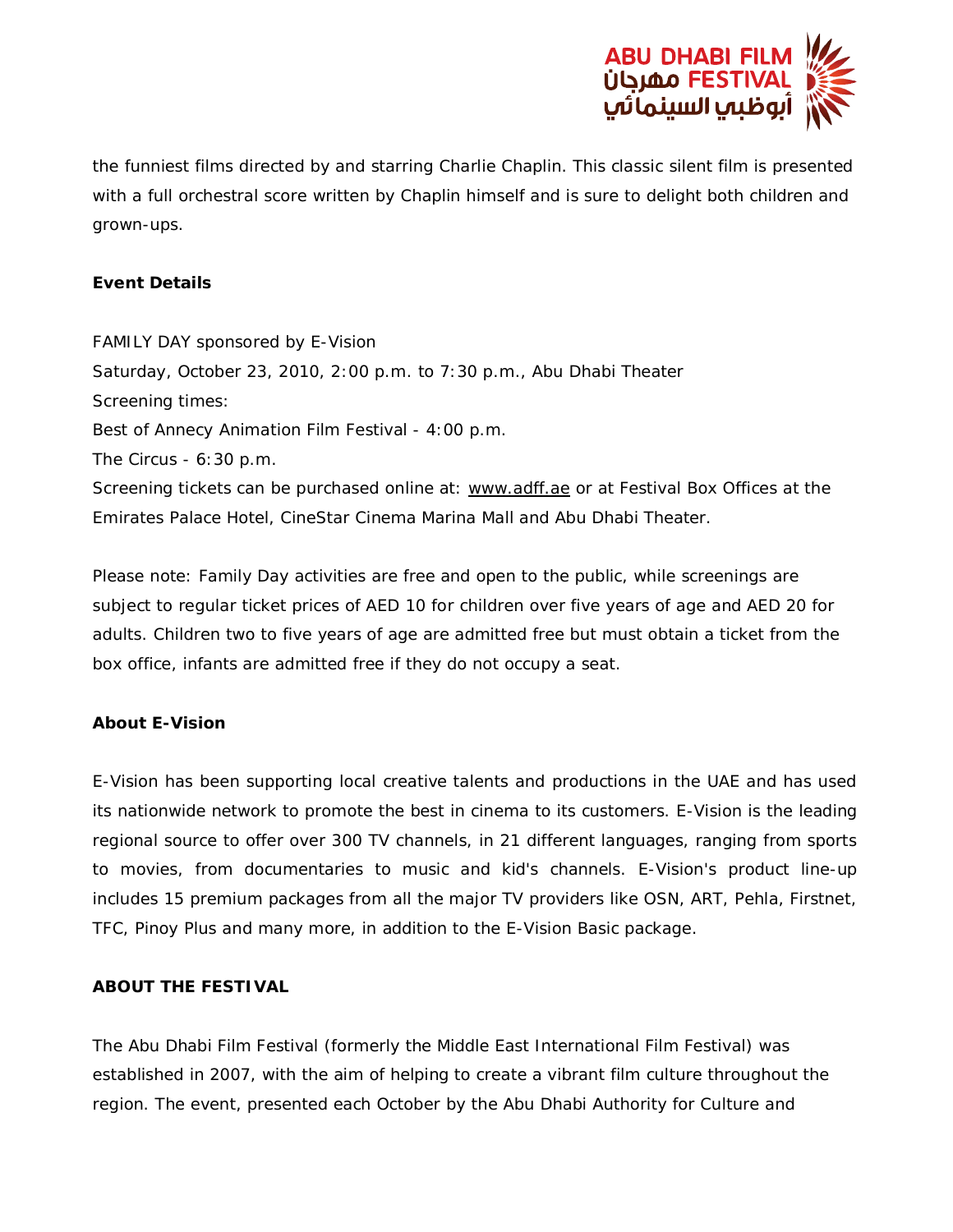

the funniest films directed by and starring Charlie Chaplin. This classic silent film is presented with a full orchestral score written by Chaplin himself and is sure to delight both children and grown-ups.

## **Event Details**

FAMILY DAY sponsored by E-Vision Saturday, October 23, 2010, 2:00 p.m. to 7:30 p.m., Abu Dhabi Theater Screening times: *Best of Annecy Animation Film Festival -* 4:00 p.m. *The Circus* - 6:30 p.m. Screening tickets can be purchased online at: www.adff.ae or at Festival Box Offices at the Emirates Palace Hotel, CineStar Cinema Marina Mall and Abu Dhabi Theater.

Please note: Family Day activities are free and open to the public, while screenings are subject to regular ticket prices of AED 10 for children over five years of age and AED 20 for adults. Children two to five years of age are admitted free but must obtain a ticket from the box office, infants are admitted free if they do not occupy a seat.

## **About E-Vision**

E-Vision has been supporting local creative talents and productions in the UAE and has used its nationwide network to promote the best in cinema to its customers. E-Vision is the leading regional source to offer over 300 TV channels, in 21 different languages, ranging from sports to movies, from documentaries to music and kid's channels. E-Vision's product line-up includes 15 premium packages from all the major TV providers like OSN, ART, Pehla, Firstnet, TFC, Pinoy Plus and many more, in addition to the E-Vision Basic package.

## **ABOUT THE FESTIVAL**

The Abu Dhabi Film Festival (formerly the Middle East International Film Festival) was established in 2007, with the aim of helping to create a vibrant film culture throughout the region. The event, presented each October by the Abu Dhabi Authority for Culture and